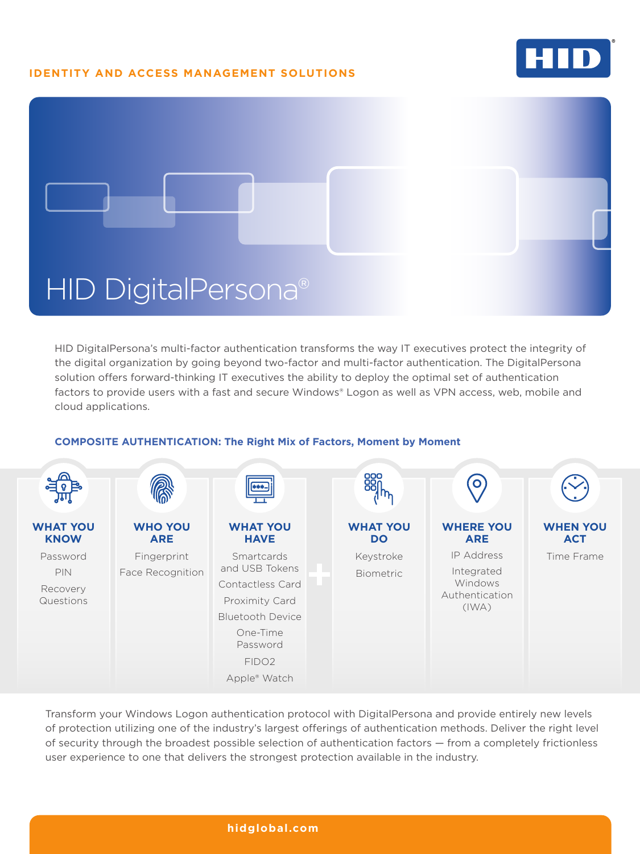# **IDENTITY AND ACCESS MANAGEMENT SOLUTIONS**





HID DigitalPersona's multi-factor authentication transforms the way IT executives protect the integrity of the digital organization by going beyond two-factor and multi-factor authentication. The DigitalPersona solution offers forward-thinking IT executives the ability to deploy the optimal set of authentication factors to provide users with a fast and secure Windows® Logon as well as VPN access, web, mobile and cloud applications.

#### $\bullet$ **WHAT YOU WHO YOU WHAT YOU WHAT YOU WHERE YOU WHEN YOU KNOW ARE HAVE DO ARE ACT** IP Address Password Fingerprint **Smartcards** Keystroke Time Frame and USB Tokens PIN Face Recognition Integrated Biometric Windows Contactless Card Recovery Authentication Questions Proximity Card (IWA) Bluetooth Device One-Time Password FIDO2 Apple® Watch

## **COMPOSITE AUTHENTICATION: The Right Mix of Factors, Moment by Moment**

Transform your Windows Logon authentication protocol with DigitalPersona and provide entirely new levels of protection utilizing one of the industry's largest offerings of authentication methods. Deliver the right level of security through the broadest possible selection of authentication factors — from a completely frictionless user experience to one that delivers the strongest protection available in the industry.

## **[hidglobal.com](http://hid.gl/ZBb)**